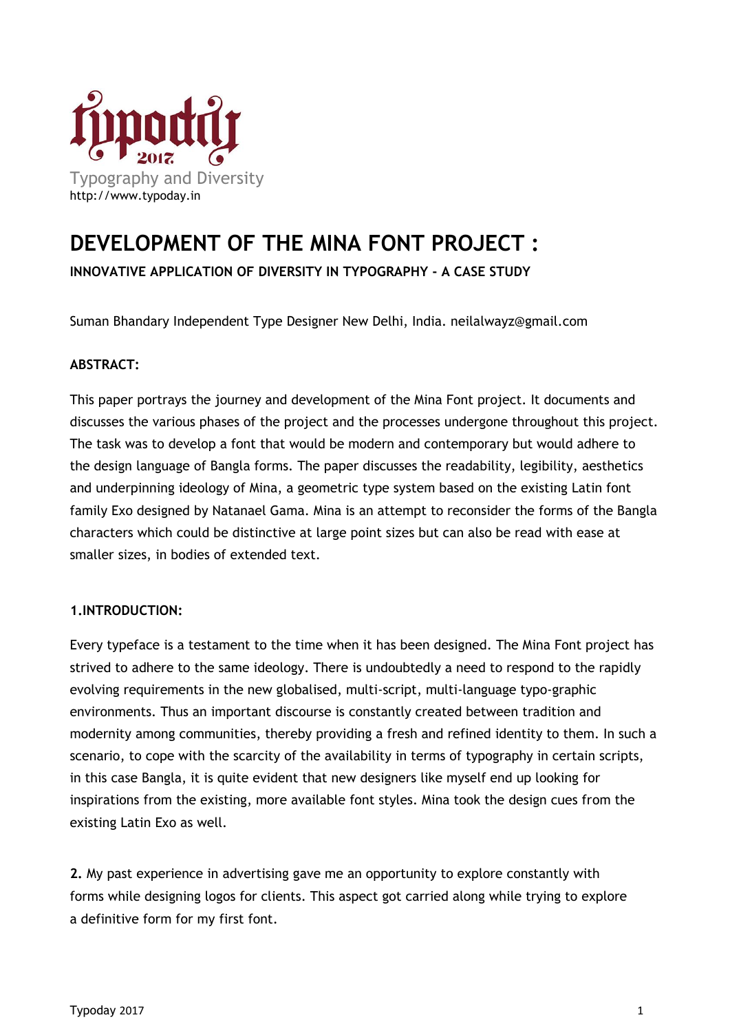

## **DEVELOPMENT OF THE MINA FONT PROJECT :**

**INNOVATIVE APPLICATION OF DIVERSITY IN TYPOGRAPHY - A CASE STUDY**

Suman Bhandary Independent Type Designer New Delhi, India. neilalwayz@gmail.com

## **ABSTRACT:**

This paper portrays the journey and development of the Mina Font project. It documents and discusses the various phases of the project and the processes undergone throughout this project. The task was to develop a font that would be modern and contemporary but would adhere to the design language of Bangla forms. The paper discusses the readability, legibility, aesthetics and underpinning ideology of Mina, a geometric type system based on the existing Latin font family Exo designed by Natanael Gama. Mina is an attempt to reconsider the forms of the Bangla characters which could be distinctive at large point sizes but can also be read with ease at smaller sizes, in bodies of extended text.

## **1.INTRODUCTION:**

Every typeface is a testament to the time when it has been designed. The Mina Font project has strived to adhere to the same ideology. There is undoubtedly a need to respond to the rapidly evolving requirements in the new globalised, multi-script, multi-language typo-graphic environments. Thus an important discourse is constantly created between tradition and modernity among communities, thereby providing a fresh and refined identity to them. In such a scenario, to cope with the scarcity of the availability in terms of typography in certain scripts, in this case Bangla, it is quite evident that new designers like myself end up looking for inspirations from the existing, more available font styles. Mina took the design cues from the existing Latin Exo as well.

**2.** My past experience in advertising gave me an opportunity to explore constantly with forms while designing logos for clients. This aspect got carried along while trying to explore a definitive form for my first font.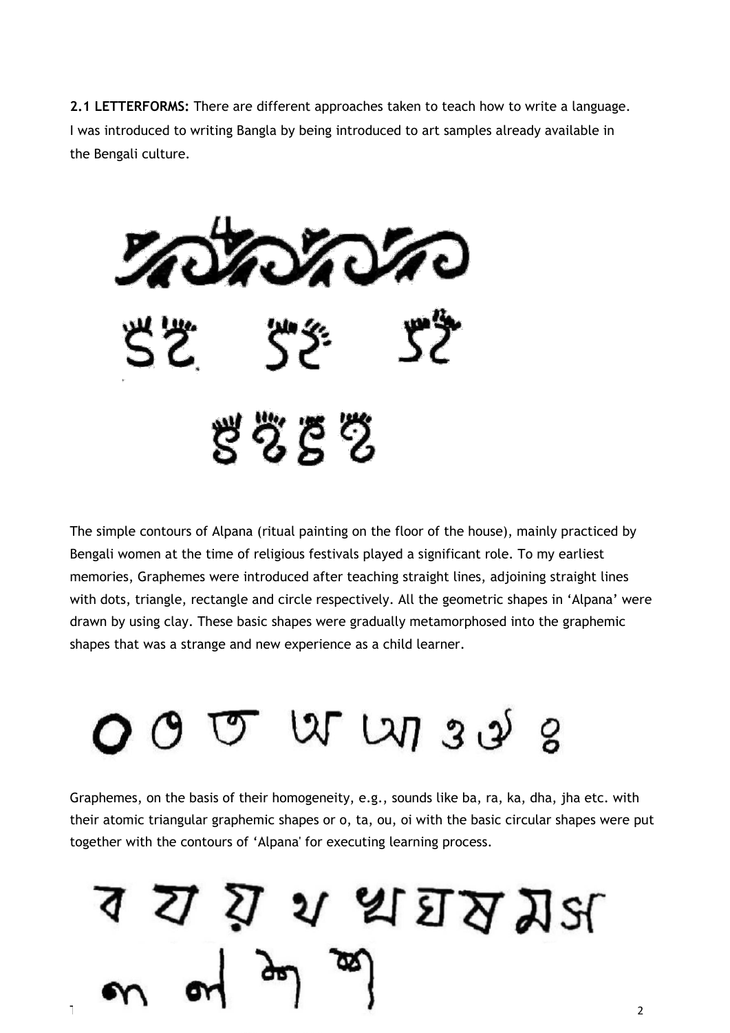**2.1 LETTERFORMS:** There are different approaches taken to teach how to write a language. I was introduced to writing Bangla by being introduced to art samples already available in the Bengali culture.



The simple contours of Alpana (ritual painting on the floor of the house), mainly practiced by Bengali women at the time of religious festivals played a significant role. To my earliest memories, Graphemes were introduced after teaching straight lines, adjoining straight lines with dots, triangle, rectangle and circle respectively. All the geometric shapes in 'Alpana' were drawn by using clay. These basic shapes were gradually metamorphosed into the graphemic shapes that was a strange and new experience as a child learner.



Graphemes, on the basis of their homogeneity, e.g., sounds like ba, ra, ka, dha, jha etc. with their atomic triangular graphemic shapes or o, ta, ou, oi with the basic circular shapes were put together with the contours of 'Alpana' for executing learning process.

এ এ ম ম প্রাপ্ত শ্র  $T$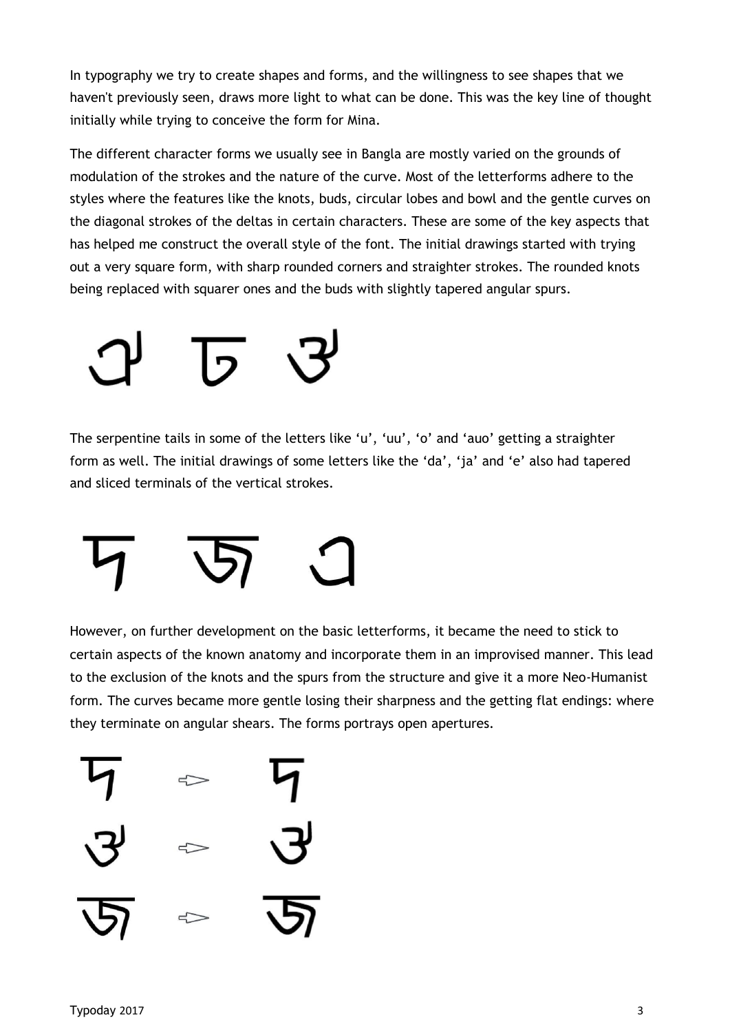In typography we try to create shapes and forms, and the willingness to see shapes that we haven't previously seen, draws more light to what can be done. This was the key line of thought initially while trying to conceive the form for Mina.

The different character forms we usually see in Bangla are mostly varied on the grounds of modulation of the strokes and the nature of the curve. Most of the letterforms adhere to the styles where the features like the knots, buds, circular lobes and bowl and the gentle curves on the diagonal strokes of the deltas in certain characters. These are some of the key aspects that has helped me construct the overall style of the font. The initial drawings started with trying out a very square form, with sharp rounded corners and straighter strokes. The rounded knots being replaced with squarer ones and the buds with slightly tapered angular spurs.

The serpentine tails in some of the letters like 'u', 'uu', 'o' and 'auo' getting a straighter form as well. The initial drawings of some letters like the 'da', 'ja' and 'e' also had tapered and sliced terminals of the vertical strokes.



However, on further development on the basic letterforms, it became the need to stick to certain aspects of the known anatomy and incorporate them in an improvised manner. This lead to the exclusion of the knots and the spurs from the structure and give it a more Neo-Humanist form. The curves became more gentle losing their sharpness and the getting flat endings: where they terminate on angular shears. The forms portrays open apertures.

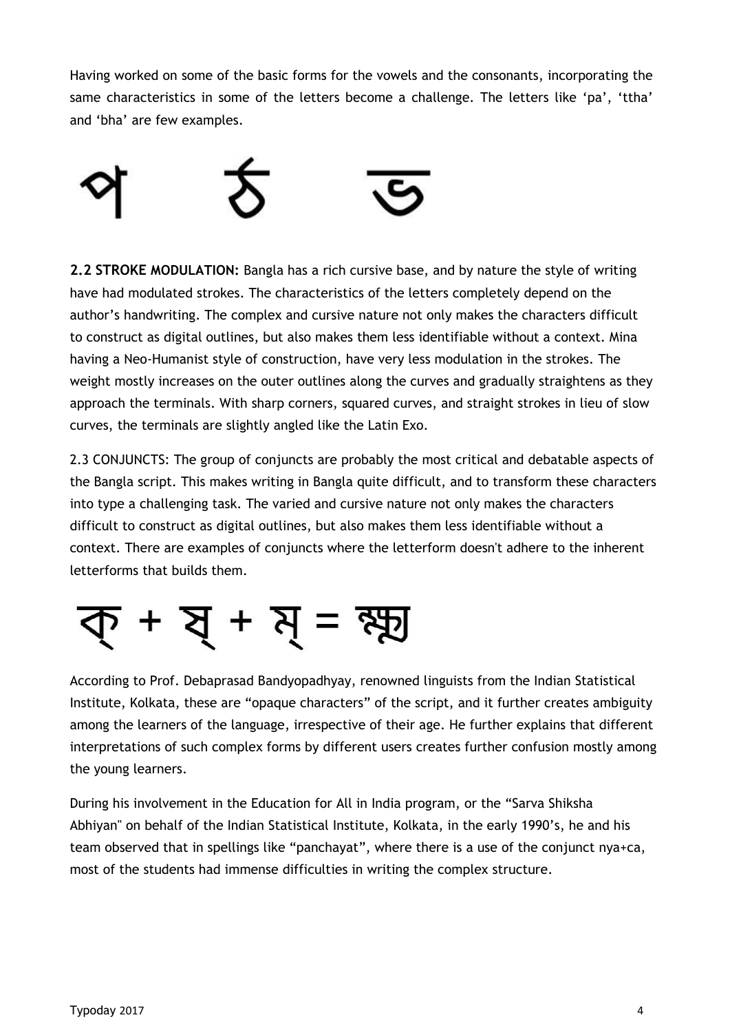Having worked on some of the basic forms for the vowels and the consonants, incorporating the same characteristics in some of the letters become a challenge. The letters like 'pa', 'ttha' and 'bha' are few examples.



**2.2 STROKE MODULATION:** Bangla has a rich cursive base, and by nature the style of writing have had modulated strokes. The characteristics of the letters completely depend on the author's handwriting. The complex and cursive nature not only makes the characters difficult to construct as digital outlines, but also makes them less identifiable without a context. Mina having a Neo-Humanist style of construction, have very less modulation in the strokes. The weight mostly increases on the outer outlines along the curves and gradually straightens as they approach the terminals. With sharp corners, squared curves, and straight strokes in lieu of slow curves, the terminals are slightly angled like the Latin Exo.

2.3 CONJUNCTS: The group of conjuncts are probably the most critical and debatable aspects of the Bangla script. This makes writing in Bangla quite difficult, and to transform these characters into type a challenging task. The varied and cursive nature not only makes the characters difficult to construct as digital outlines, but also makes them less identifiable without a context. There are examples of conjuncts where the letterform doesn't adhere to the inherent letterforms that builds them.

$$
\overline{d} + \overline{d} + \overline{d} = \overline{d}
$$

According to Prof. Debaprasad Bandyopadhyay, renowned linguists from the Indian Statistical Institute, Kolkata, these are "opaque characters" of the script, and it further creates ambiguity among the learners of the language, irrespective of their age. He further explains that different interpretations of such complex forms by different users creates further confusion mostly among the young learners.

During his involvement in the Education for All in India program, or the "Sarva Shiksha Abhiyan" on behalf of the Indian Statistical Institute, Kolkata, in the early 1990's, he and his team observed that in spellings like "panchayat", where there is a use of the conjunct nya+ca, most of the students had immense difficulties in writing the complex structure.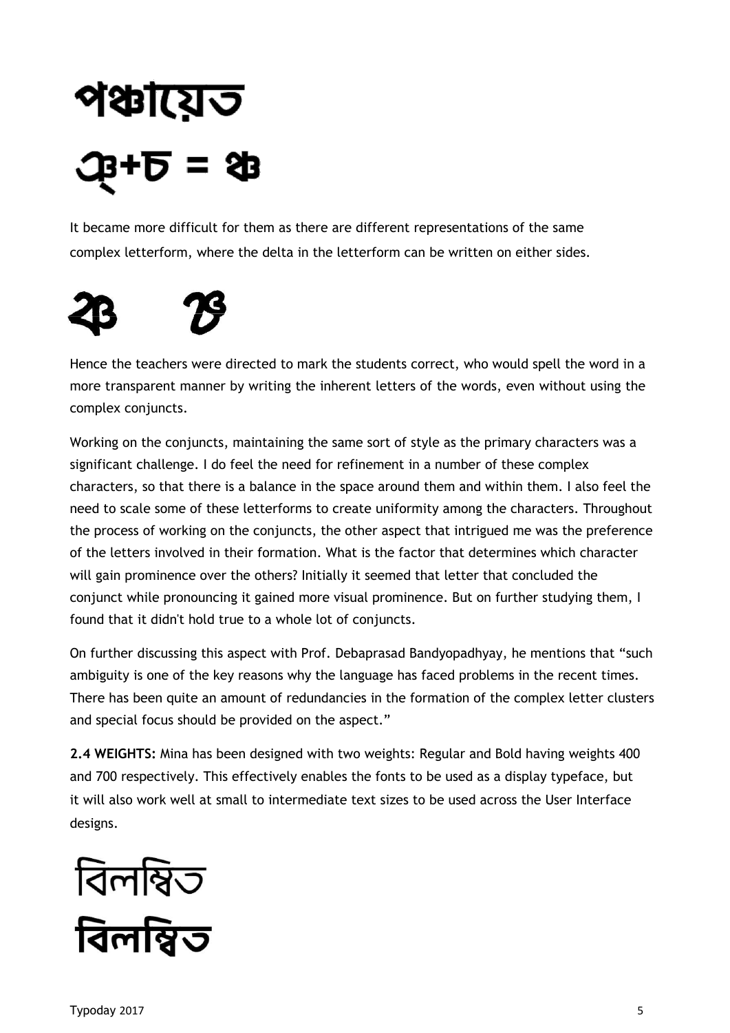# পঞ্চায়েত B+D =

It became more difficult for them as there are different representations of the same complex letterform, where the delta in the letterform can be written on either sides.



Hence the teachers were directed to mark the students correct, who would spell the word in a more transparent manner by writing the inherent letters of the words, even without using the complex conjuncts.

Working on the conjuncts, maintaining the same sort of style as the primary characters was a significant challenge. I do feel the need for refinement in a number of these complex characters, so that there is a balance in the space around them and within them. I also feel the need to scale some of these letterforms to create uniformity among the characters. Throughout the process of working on the conjuncts, the other aspect that intrigued me was the preference of the letters involved in their formation. What is the factor that determines which character will gain prominence over the others? Initially it seemed that letter that concluded the conjunct while pronouncing it gained more visual prominence. But on further studying them, I found that it didn't hold true to a whole lot of conjuncts.

On further discussing this aspect with Prof. Debaprasad Bandyopadhyay, he mentions that "such ambiguity is one of the key reasons why the language has faced problems in the recent times. There has been quite an amount of redundancies in the formation of the complex letter clusters and special focus should be provided on the aspect."

**2.4 WEIGHTS:** Mina has been designed with two weights: Regular and Bold having weights 400 and 700 respectively. This effectively enables the fonts to be used as a display typeface, but it will also work well at small to intermediate text sizes to be used across the User Interface designs.

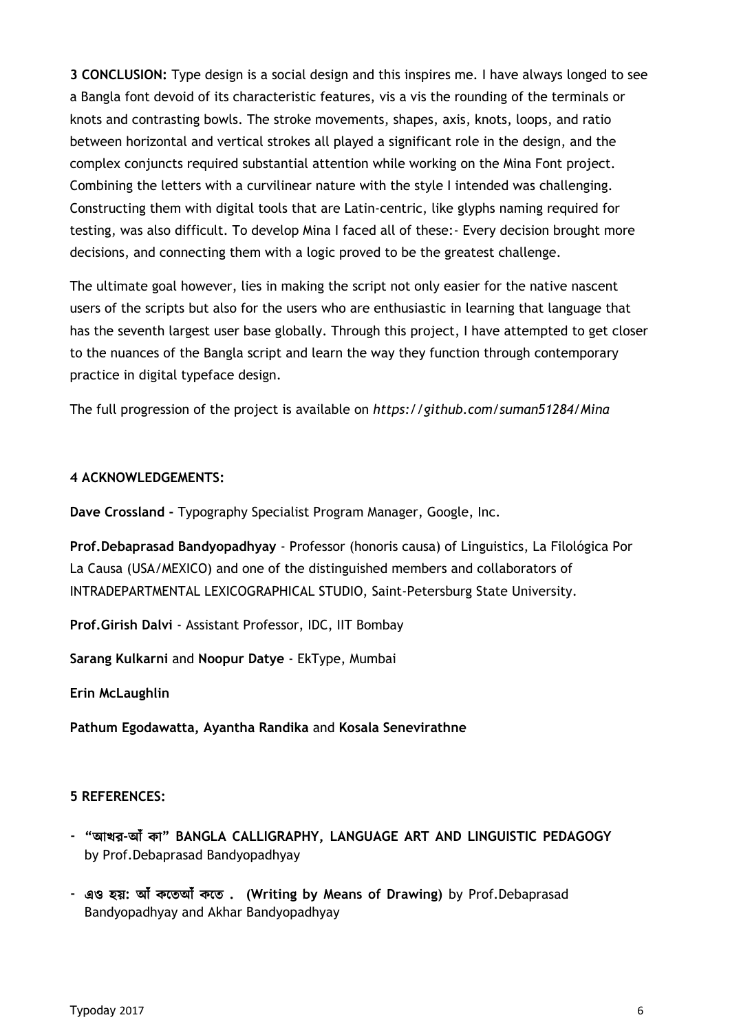**3 CONCLUSION:** Type design is a social design and this inspires me. I have always longed to see a Bangla font devoid of its characteristic features, vis a vis the rounding of the terminals or knots and contrasting bowls. The stroke movements, shapes, axis, knots, loops, and ratio between horizontal and vertical strokes all played a significant role in the design, and the complex conjuncts required substantial attention while working on the Mina Font project. Combining the letters with a curvilinear nature with the style I intended was challenging. Constructing them with digital tools that are Latin-centric, like glyphs naming required for testing, was also difficult. To develop Mina I faced all of these:- Every decision brought more decisions, and connecting them with a logic proved to be the greatest challenge.

The ultimate goal however, lies in making the script not only easier for the native nascent users of the scripts but also for the users who are enthusiastic in learning that language that has the seventh largest user base globally. Through this project, I have attempted to get closer to the nuances of the Bangla script and learn the way they function through contemporary practice in digital typeface design.

The full progression of the project is available on *https://github.com/suman51284/Mina*

### **4 ACKNOWLEDGEMENTS:**

**Dave Crossland -** Typography Specialist Program Manager, Google, Inc.

**Prof.Debaprasad Bandyopadhyay** - Professor (honoris causa) of Linguistics, La Filológica Por La Causa (USA/MEXICO) and one of the distinguished members and collaborators of INTRADEPARTMENTAL LEXICOGRAPHICAL STUDIO, Saint-Petersburg State University.

**Prof.Girish Dalvi** - Assistant Professor, IDC, IIT Bombay

**Sarang Kulkarni** and **Noopur Datye** - EkType, Mumbai

**Erin McLaughlin**

**Pathum Egodawatta, Ayantha Randika** and **Kosala Senevirathne**

## **5 REFERENCES:**

- **"**আখর**-**আ **" BANGLA CALLIGRAPHY, LANGUAGE ART AND LINGUISTIC PEDAGOGY**  by Prof.Debaprasad Bandyopadhyay
- এও হয়**:** আ আ **. (Writing by Means of Drawing)** by Prof.Debaprasad Bandyopadhyay and Akhar Bandyopadhyay